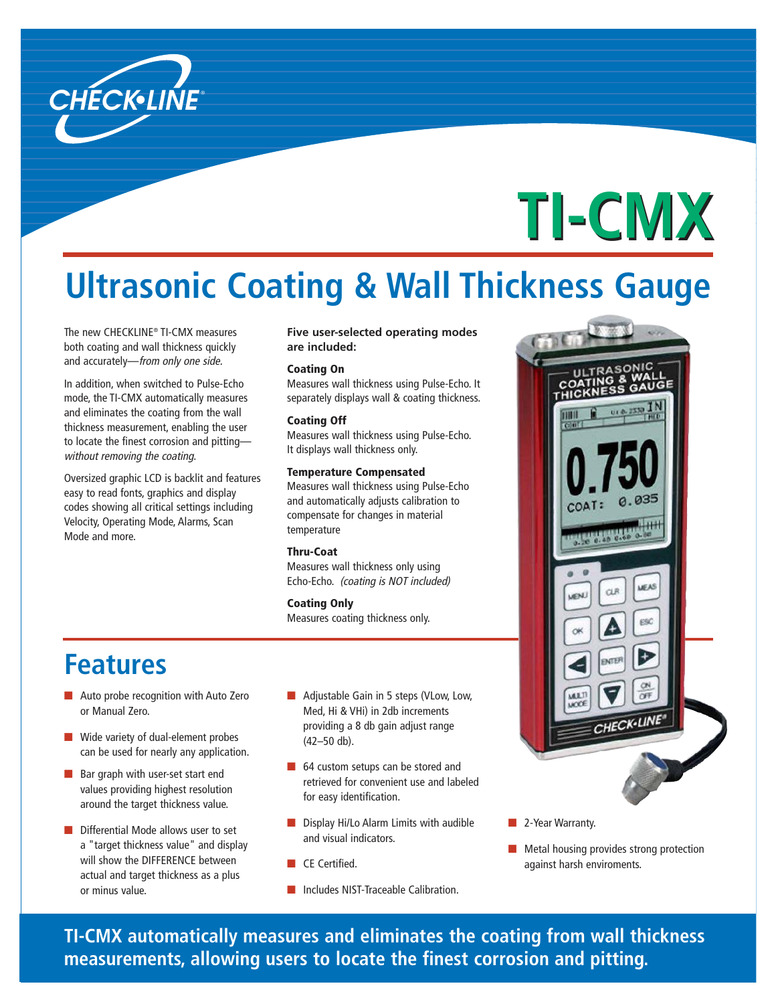

# **TI-CMX**

### **Ultrasonic Coating & Wall Thickness Gauge**

The new CHECKLINE® TI-CMX measures both coating and wall thickness quickly and accurately—from only one side.

In addition, when switched to Pulse-Echo mode, the TI-CMX automatically measures and eliminates the coating from the wall thickness measurement, enabling the user to locate the finest corrosion and pitting without removing the coating.

Oversized graphic LCD is backlit and features easy to read fonts, graphics and display codes showing all critical settings including Velocity, Operating Mode, Alarms, Scan Mode and more.

**Five user-selected operating modes are included:**

### Coating On

Measures wall thickness using Pulse-Echo. It separately displays wall & coating thickness.

### Coating Off

Measures wall thickness using Pulse-Echo. It displays wall thickness only.

### Temperature Compensated

Measures wall thickness using Pulse-Echo and automatically adjusts calibration to compensate for changes in material temperature

### Thru-Coat

Measures wall thickness only using Echo-Echo. (coating is NOT included)

#### Coating Only

Measures coating thickness only.

### **Features**

- Auto probe recognition with Auto Zero or Manual Zero.
- Wide variety of dual-element probes can be used for nearly any application.
- Bar graph with user-set start end values providing highest resolution around the target thickness value.
- Differential Mode allows user to set a "target thickness value" and display will show the DIFFERENCE between actual and target thickness as a plus or minus value.
- Adjustable Gain in 5 steps (VLow, Low, Med, Hi & VHi) in 2db increments providing a 8 db gain adjust range (42–50 db).
- 64 custom setups can be stored and retrieved for convenient use and labeled for easy identification.
- Display Hi/Lo Alarm Limits with audible and visual indicators.
- CE Certified.
- Includes NIST-Traceable Calibration.
- 2-Year Warranty.
- Metal housing provides strong protection against harsh enviroments.

**TI-CMX automatically measures and eliminates the coating from wall thickness measurements, allowing users to locate the finest corrosion and pitting.**